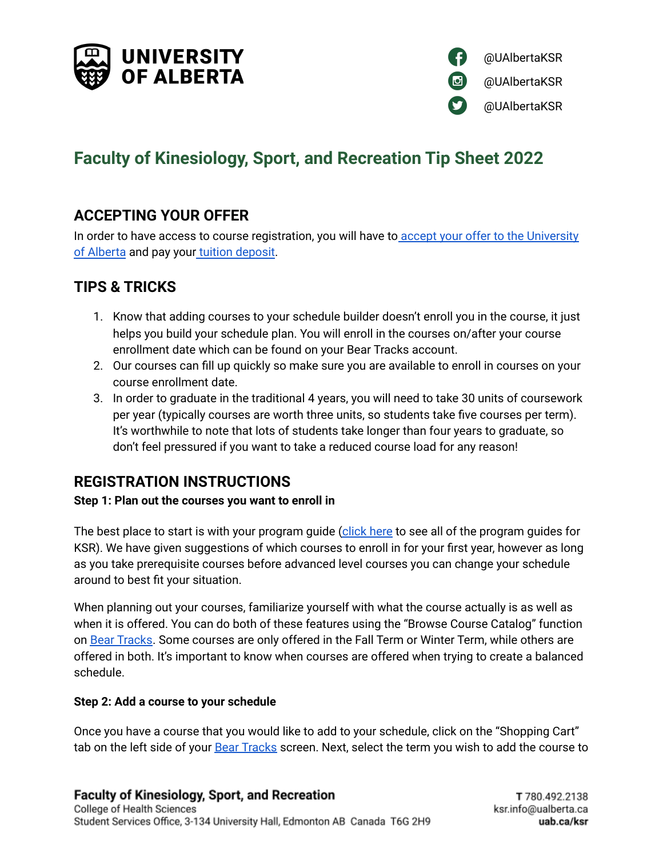



# **Faculty of Kinesiology, Sport, and Recreation Tip Sheet 2022**

# **ACCEPTING YOUR OFFER**

In order to have access to course registration, you will have to accept your offer to the [University](https://www.ualberta.ca/admissions/undergraduate/admission/after-you-apply/how-to-accept-your-offer) of [Alberta](https://www.ualberta.ca/admissions/undergraduate/admission/after-you-apply/how-to-accept-your-offer) and pay your tuition [deposit](https://www.ualberta.ca/admissions/undergraduate/admission/after-you-apply/how-to-accept-your-offer/tuition-deposit-payment.html?).

## **TIPS & TRICKS**

- 1. Know that adding courses to your schedule builder doesn't enroll you in the course, it just helps you build your schedule plan. You will enroll in the courses on/after your course enrollment date which can be found on your Bear Tracks account.
- 2. Our courses can fill up quickly so make sure you are available to enroll in courses on your course enrollment date.
- 3. In order to graduate in the traditional 4 years, you will need to take 30 units of coursework per year (typically courses are worth three units, so students take five courses per term). It's worthwhile to note that lots of students take longer than four years to graduate, so don't feel pressured if you want to take a reduced course load for any reason!

### **REGISTRATION INSTRUCTIONS**

### **Step 1: Plan out the courses you want to enroll in**

The best place to start is with your program guide [\(click](https://drive.google.com/drive/folders/1OSLn_i179IWESlw1d0Rj-WFb52T7z2Q_?usp=sharing) here to see all of the program guides for KSR). We have given suggestions of which courses to enroll in for your first year, however as long as you take prerequisite courses before advanced level courses you can change your schedule around to best fit your situation.

When planning out your courses, familiarize yourself with what the course actually is as well as when it is offered. You can do both of these features using the "Browse Course Catalog" function on Bear [Tracks](https://www.beartracks.ualberta.ca/). Some courses are only offered in the Fall Term or Winter Term, while others are offered in both. It's important to know when courses are offered when trying to create a balanced schedule.

#### **Step 2: Add a course to your schedule**

Once you have a course that you would like to add to your schedule, click on the "Shopping Cart" tab on the left side of your Bear [Tracks](https://www.beartracks.ualberta.ca/) screen. Next, select the term you wish to add the course to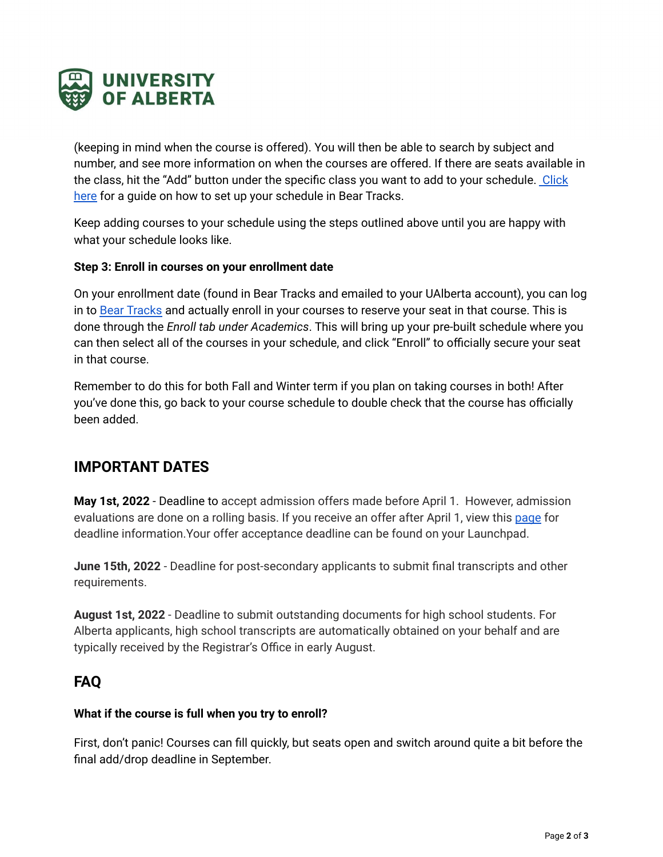

(keeping in mind when the course is offered). You will then be able to search by subject and number, and see more information on when the courses are offered. If there are seats available in the class, hit the "Add" button under the specific class you want to add to your schedule. [Click](https://docs.google.com/document/d/1mSggc8YVcZPG66s0iwPtXNs-xY8X7ZtGmV4DwKqcUTI/edit) [here](https://docs.google.com/document/d/1mSggc8YVcZPG66s0iwPtXNs-xY8X7ZtGmV4DwKqcUTI/edit) for a guide on how to set up your schedule in Bear Tracks.

Keep adding courses to your schedule using the steps outlined above until you are happy with what your schedule looks like.

### **Step 3: Enroll in courses on your enrollment date**

On your enrollment date (found in Bear Tracks and emailed to your UAlberta account), you can log in to Bear [Tracks](https://www.beartracks.ualberta.ca/) and actually enroll in your courses to reserve your seat in that course. This is done through the *Enroll tab under Academics*. This will bring up your pre-built schedule where you can then select all of the courses in your schedule, and click "Enroll" to officially secure your seat in that course.

Remember to do this for both Fall and Winter term if you plan on taking courses in both! After you've done this, go back to your course schedule to double check that the course has officially been added.

### **IMPORTANT DATES**

**May 1st, 2022** - Deadline to accept admission offers made before April 1. However, admission evaluations are done on a rolling basis. If you receive an offer after April 1, view this [page](https://www.ualberta.ca/admissions/undergraduate/admission/after-you-apply/how-to-accept-your-offer/index.html) for deadline information.Your offer acceptance deadline can be found on your Launchpad.

**June 15th, 2022** - Deadline for post-secondary applicants to submit final transcripts and other requirements.

**August 1st, 2022** - Deadline to submit outstanding documents for high school students. For Alberta applicants, high school transcripts are automatically obtained on your behalf and are typically received by the Registrar's Office in early August.

### **FAQ**

#### **What if the course is full when you try to enroll?**

First, don't panic! Courses can fill quickly, but seats open and switch around quite a bit before the final add/drop deadline in September.